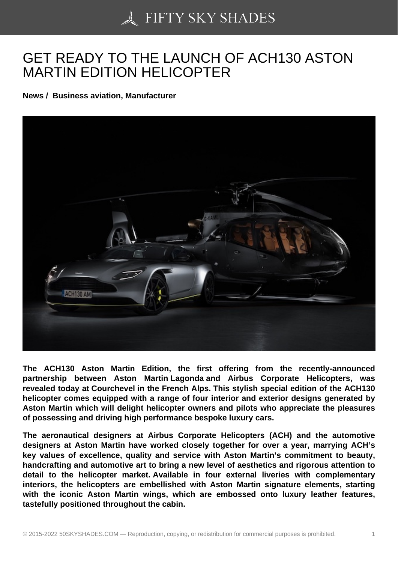## [GET READY TO THE](https://50skyshades.com) LAUNCH OF ACH130 ASTON MARTIN EDITION HELICOPTER

News / Business aviation, Manufacturer

The ACH130 Aston Martin Edition, the first offering from the recently-announced partnership between Aston Martin Lagonda and Airbus Corporate Helicopters, was revealed today at Courchevel in the French Alps. This stylish special edition of the ACH130 helicopter comes equipped with a range of four interior and exterior designs generated by Aston Martin which will delight helicopter owners and pilots who appreciate the pleasures of possessing and driving high performance bespoke luxury cars.

The aeronautical designers at Airbus Corporate Helicopters (ACH) and the automotive designers at Aston Martin have worked closely together for over a year, marrying ACH's key values of excellence, quality and service with Aston Martin's commitment to beauty, handcrafting and automotive art to bring a new level of aesthetics and rigorous attention to detail to the helicopter market. Available in four external liveries with complementary interiors, the helicopters are embellished with Aston Martin signature elements, starting with the iconic Aston Martin wings, which are embossed onto luxury leather features, tastefully positioned throughout the cabin.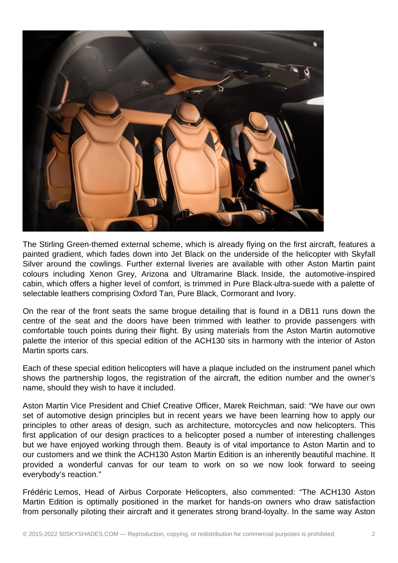

The Stirling Green-themed external scheme, which is already flying on the first aircraft, features a painted gradient, which fades down into Jet Black on the underside of the helicopter with Skyfall Silver around the cowlings. Further external liveries are available with other Aston Martin paint colours including Xenon Grey, Arizona and Ultramarine Black. Inside, the automotive-inspired cabin, which offers a higher level of comfort, is trimmed in Pure Black ultra-suede with a palette of selectable leathers comprising Oxford Tan, Pure Black, Cormorant and Ivory.

On the rear of the front seats the same brogue detailing that is found in a DB11 runs down the centre of the seat and the doors have been trimmed with leather to provide passengers with comfortable touch points during their flight. By using materials from the Aston Martin automotive palette the interior of this special edition of the ACH130 sits in harmony with the interior of Aston Martin sports cars.

Each of these special edition helicopters will have a plaque included on the instrument panel which shows the partnership logos, the registration of the aircraft, the edition number and the owner's name, should they wish to have it included.

Aston Martin Vice President and Chief Creative Officer, Marek Reichman, said: "We have our own set of automotive design principles but in recent years we have been learning how to apply our principles to other areas of design, such as architecture, motorcycles and now helicopters. This first application of our design practices to a helicopter posed a number of interesting challenges but we have enjoyed working through them. Beauty is of vital importance to Aston Martin and to our customers and we think the ACH130 Aston Martin Edition is an inherently beautiful machine. It provided a wonderful canvas for our team to work on so we now look forward to seeing everybody's reaction."

Frédéric Lemos, Head of Airbus Corporate Helicopters, also commented: "The ACH130 Aston Martin Edition is optimally positioned in the market for hands-on owners who draw satisfaction from personally piloting their aircraft and it generates strong brand-loyalty. In the same way Aston